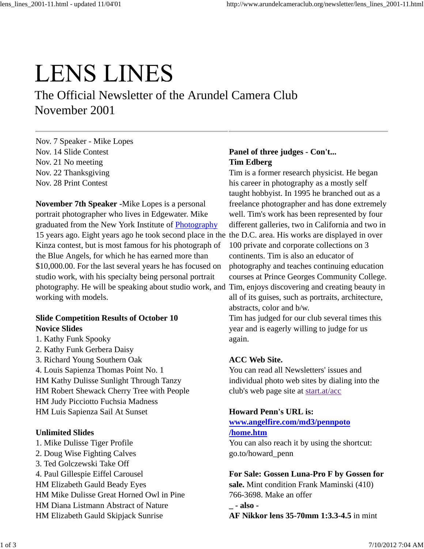## **LENS LINES**

The Official Newsletter of the Arundel Camera Club November 2001

Nov. 7 Speaker - Mike Lopes Nov. 14 Slide Contest Nov. 21 No meeting Nov. 22 Thanksgiving Nov. 28 Print Contest

**November 7th Speaker -**Mike Lopes is a personal portrait photographer who lives in Edgewater. Mike graduated from the New York Institute of Photography 15 years ago. Eight years ago he took second place in the the D.C. area. His works are displayed in over Kinza contest, but is most famous for his photograph of the Blue Angels, for which he has earned more than \$10,000.00. For the last several years he has focused on studio work, with his specialty being personal portrait photography. He will be speaking about studio work, and Tim, enjoys discovering and creating beauty in working with models.

#### **Slide Competition Results of October 10 Novice Slides**

- 1. Kathy Funk Spooky
- 2. Kathy Funk Gerbera Daisy
- 3. Richard Young Southern Oak
- 4. Louis Sapienza Thomas Point No. 1 HM Kathy Dulisse Sunlight Through Tanzy HM Robert Shewack Cherry Tree with People HM Judy Picciotto Fuchsia Madness HM Luis Sapienza Sail At Sunset

#### **Unlimited Slides**

1. Mike Dulisse Tiger Profile 2. Doug Wise Fighting Calves 3. Ted Golczewski Take Off 4. Paul Gillespie Eiffel Carousel HM Elizabeth Gauld Beady Eyes HM Mike Dulisse Great Horned Owl in Pine HM Diana Listmann Abstract of Nature HM Elizabeth Gauld Skipjack Sunrise

#### **Panel of three judges - Con't... Tim Edberg**

Tim is a former research physicist. He began his career in photography as a mostly self taught hobbyist. In 1995 he branched out as a freelance photographer and has done extremely well. Tim's work has been represented by four different galleries, two in California and two in 100 private and corporate collections on 3 continents. Tim is also an educator of photography and teaches continuing education courses at Prince Georges Community College. all of its guises, such as portraits, architecture, abstracts, color and b/w.

Tim has judged for our club several times this year and is eagerly willing to judge for us again.

#### **ACC Web Site.**

You can read all Newsletters' issues and individual photo web sites by dialing into the club's web page site at start.at/acc

#### **Howard Penn's URL is:**

#### **www.angelfire.com/md3/pennpoto /home.htm**

You can also reach it by using the shortcut: go.to/howard\_penn

#### **For Sale: Gossen Luna-Pro F by Gossen for**

**sale.** Mint condition Frank Maminski (410) 766-3698. Make an offer

**\_ - also - AF Nikkor lens 35-70mm 1:3.3-4.5** in mint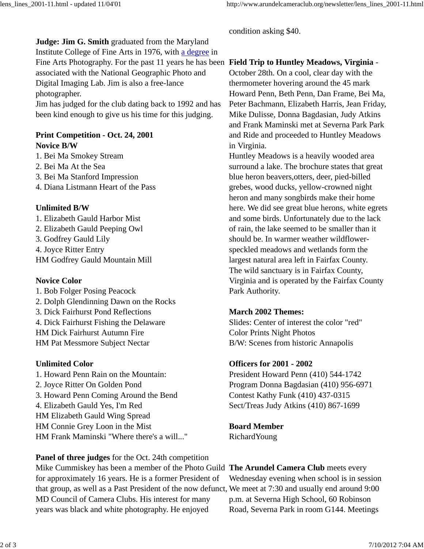condition asking \$40.

### **Judge: Jim G. Smith** graduated from the Maryland Institute College of Fine Arts in 1976, with a degree in

associated with the National Geographic Photo and Digital Imaging Lab. Jim is also a free-lance photographer.

Jim has judged for the club dating back to 1992 and has been kind enough to give us his time for this judging.

#### **Print Competition - Oct. 24, 2001 Novice B/W**

1. Bei Ma Smokey Stream

- 2. Bei Ma At the Sea
- 3. Bei Ma Stanford Impression
- 4. Diana Listmann Heart of the Pass

#### **Unlimited B/W**

1. Elizabeth Gauld Harbor Mist 2. Elizabeth Gauld Peeping Owl 3. Godfrey Gauld Lily 4. Joyce Ritter Entry HM Godfrey Gauld Mountain Mill

#### **Novice Color**

1. Bob Folger Posing Peacock 2. Dolph Glendinning Dawn on the Rocks 3. Dick Fairhurst Pond Reflections 4. Dick Fairhurst Fishing the Delaware HM Dick Fairhurst Autumn Fire HM Pat Messmore Subject Nectar

#### **Unlimited Color**

1. Howard Penn Rain on the Mountain: 2. Joyce Ritter On Golden Pond 3. Howard Penn Coming Around the Bend 4. Elizabeth Gauld Yes, I'm Red HM Elizabeth Gauld Wing Spread HM Connie Grey Loon in the Mist HM Frank Maminski "Where there's a will..."

**Panel of three judges** for the Oct. 24th competition Mike Cummiskey has been a member of the Photo Guild **The Arundel Camera Club** meets every for approximately 16 years. He is a former President of that group, as well as a Past President of the now defunct, We meet at 7:30 and usually end around 9:00 MD Council of Camera Clubs. His interest for many years was black and white photography. He enjoyed

#### Fine Arts Photography. For the past 11 years he has been **Field Trip to Huntley Meadows, Virginia** -

October 28th. On a cool, clear day with the thermometer hovering around the 45 mark Howard Penn, Beth Penn, Dan Frame, Bei Ma, Peter Bachmann, Elizabeth Harris, Jean Friday, Mike Dulisse, Donna Bagdasian, Judy Atkins and Frank Maminski met at Severna Park Park and Ride and proceeded to Huntley Meadows in Virginia.

Huntley Meadows is a heavily wooded area surround a lake. The brochure states that great blue heron beavers,otters, deer, pied-billed grebes, wood ducks, yellow-crowned night heron and many songbirds make their home here. We did see great blue herons, white egrets and some birds. Unfortunately due to the lack of rain, the lake seemed to be smaller than it should be. In warmer weather wildflowerspeckled meadows and wetlands form the largest natural area left in Fairfax County. The wild sanctuary is in Fairfax County, Virginia and is operated by the Fairfax County Park Authority.

#### **March 2002 Themes:**

Slides: Center of interest the color "red" Color Prints Night Photos B/W: Scenes from historic Annapolis

#### **Officers for 2001 - 2002**

President Howard Penn (410) 544-1742 Program Donna Bagdasian (410) 956-6971 Contest Kathy Funk (410) 437-0315 Sect/Treas Judy Atkins (410) 867-1699

**Board Member** RichardYoung

Wednesday evening when school is in session p.m. at Severna High School, 60 Robinson Road, Severna Park in room G144. Meetings